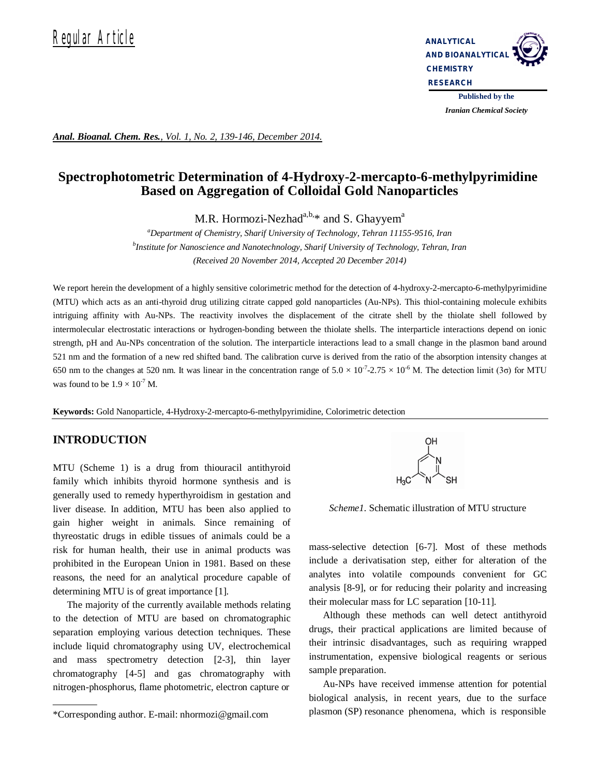

*Iranian Chemical Society* 

*Anal. Bioanal. Chem. Res., Vol. 1, No. 2, 139-146, December 2014.*

# **Spectrophotometric Determination of 4-Hydroxy-2-mercapto-6-methylpyrimidine Based on Aggregation of Colloidal Gold Nanoparticles**

M.R. Hormozi-Nezhad $a,b,*$  and S. Ghayyem<sup>a</sup>

*<sup>a</sup>Department of Chemistry, Sharif University of Technology, Tehran 11155-9516, Iran b Institute for Nanoscience and Nanotechnology, Sharif University of Technology, Tehran, Iran (Received 20 November 2014, Accepted 20 December 2014)*

We report herein the development of a highly sensitive colorimetric method for the detection of 4-hydroxy-2-mercapto-6-methylpyrimidine (MTU) which acts as an anti-thyroid drug utilizing citrate capped gold nanoparticles (Au-NPs). This thiol-containing molecule exhibits intriguing affinity with Au-NPs. The reactivity involves the displacement of the citrate shell by the thiolate shell followed by intermolecular electrostatic interactions or hydrogen-bonding between the thiolate shells. The interparticle interactions depend on ionic strength, pH and Au-NPs concentration of the solution. The interparticle interactions lead to a small change in the plasmon band around 521 nm and the formation of a new red shifted band. The calibration curve is derived from the ratio of the absorption intensity changes at 650 nm to the changes at 520 nm. It was linear in the concentration range of  $5.0 \times 10^{-7}$ -2.75  $\times 10^{-6}$  M. The detection limit (3 $\sigma$ ) for MTU was found to be  $1.9 \times 10^{-7}$  M.

**Keywords:** Gold Nanoparticle, 4-Hydroxy-2-mercapto-6-methylpyrimidine, Colorimetric detection

## **INTRODUCTION**

MTU (Scheme 1) is a drug from thiouracil antithyroid family which inhibits thyroid hormone synthesis and is generally used to remedy hyperthyroidism in gestation and liver disease. In addition, MTU has been also applied to gain higher weight in animals. Since remaining of thyreostatic drugs in edible tissues of animals could be a risk for human health, their use in animal products was prohibited in the European Union in 1981. Based on these reasons, the need for an analytical procedure capable of determining MTU is of great importance [1].

The majority of the currently available methods relating to the detection of MTU are based on chromatographic separation employing various detection techniques. These include liquid chromatography using UV, electrochemical and mass spectrometry detection [2-3], thin layer chromatography [4-5] and gas chromatography with nitrogen-phosphorus, flame photometric, electron capture or



*Scheme1*. Schematic illustration of MTU structure

mass-selective detection [6-7]. Most of these methods include a derivatisation step, either for alteration of the analytes into volatile compounds convenient for GC analysis [8-9], or for reducing their polarity and increasing their molecular mass for LC separation [10-11].

Although these methods can well detect antithyroid drugs, their practical applications are limited because of their intrinsic disadvantages, such as requiring wrapped instrumentation, expensive biological reagents or serious sample preparation.

Au-NPs have received immense attention for potential biological analysis, in recent years, due to the surface plasmon (SP) resonance phenomena, which is responsible

<sup>\*</sup>Corresponding author. E-mail: nhormozi@gmail.com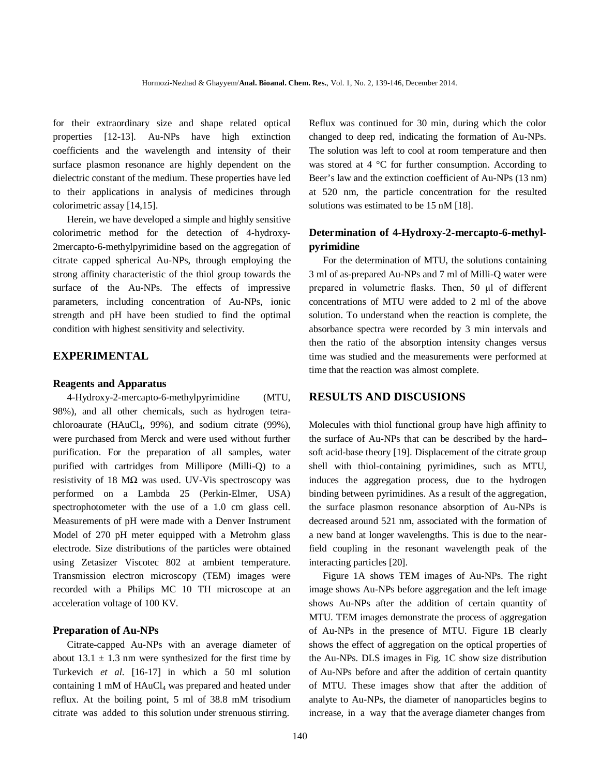for their extraordinary size and shape related optical properties [12-13]. Au-NPs have high extinction coefficients and the wavelength and intensity of their surface plasmon resonance are highly dependent on the dielectric constant of the medium. These properties have led to their applications in analysis of medicines through colorimetric assay [14,15].

Herein, we have developed a simple and highly sensitive colorimetric method for the detection of 4-hydroxy-2mercapto-6-methylpyrimidine based on the aggregation of citrate capped spherical Au-NPs, through employing the strong affinity characteristic of the thiol group towards the surface of the Au-NPs. The effects of impressive parameters, including concentration of Au-NPs, ionic strength and pH have been studied to find the optimal condition with highest sensitivity and selectivity.

## **EXPERIMENTAL**

#### **Reagents and Apparatus**

4-Hydroxy-2-mercapto-6-methylpyrimidine (MTU, 98%), and all other chemicals, such as hydrogen tetrachloroaurate (HAuCl<sub>4</sub>, 99%), and sodium citrate (99%), were purchased from Merck and were used without further purification. For the preparation of all samples, water purified with cartridges from Millipore (Milli-Q) to a resistivity of 18  $M\Omega$  was used. UV-Vis spectroscopy was performed on a Lambda 25 (Perkin-Elmer, USA) spectrophotometer with the use of a 1.0 cm glass cell. Measurements of pH were made with a Denver Instrument Model of 270 pH meter equipped with a Metrohm glass electrode. Size distributions of the particles were obtained using Zetasizer Viscotec 802 at ambient temperature. Transmission electron microscopy (TEM) images were recorded with a Philips MC 10 TH microscope at an acceleration voltage of 100 KV.

## **Preparation of Au-NPs**

Citrate-capped Au-NPs with an average diameter of about  $13.1 \pm 1.3$  nm were synthesized for the first time by Turkevich *et al*. [16-17] in which a 50 ml solution containing  $1 \text{ mM of } H\text{AuCl}_4$  was prepared and heated under reflux. At the boiling point, 5 ml of 38.8 mM trisodium citrate was added to this solution under strenuous stirring.

Reflux was continued for 30 min, during which the color changed to deep red, indicating the formation of Au-NPs. The solution was left to cool at room temperature and then was stored at 4 °C for further consumption. According to Beer's law and the extinction coefficient of Au-NPs (13 nm) at 520 nm, the particle concentration for the resulted solutions was estimated to be 15 nM [18].

# **Determination of 4-Hydroxy-2-mercapto-6-methylpyrimidine**

For the determination of MTU, the solutions containing 3 ml of as-prepared Au-NPs and 7 ml of Milli-Q water were prepared in volumetric flasks. Then, 50 μl of different concentrations of MTU were added to 2 ml of the above solution. To understand when the reaction is complete, the absorbance spectra were recorded by 3 min intervals and then the ratio of the absorption intensity changes versus time was studied and the measurements were performed at time that the reaction was almost complete.

## **RESULTS AND DISCUSIONS**

Molecules with thiol functional group have high affinity to the surface of Au-NPs that can be described by the hard– soft acid-base theory [19]. Displacement of the citrate group shell with thiol-containing pyrimidines, such as MTU, induces the aggregation process, due to the hydrogen binding between pyrimidines. As a result of the aggregation, the surface plasmon resonance absorption of Au-NPs is decreased around 521 nm, associated with the formation of a new band at longer wavelengths. This is due to the nearfield coupling in the resonant wavelength peak of the interacting particles [20].

Figure 1A shows TEM images of Au-NPs. The right image shows Au-NPs before aggregation and the left image shows Au-NPs after the addition of certain quantity of MTU. TEM images demonstrate the process of aggregation of Au-NPs in the presence of MTU. Figure 1B clearly shows the effect of aggregation on the optical properties of the Au-NPs. DLS images in Fig. 1C show size distribution of Au-NPs before and after the addition of certain quantity of MTU. These images show that after the addition of analyte to Au-NPs, the diameter of nanoparticles begins to increase, in a way that the average diameter changes from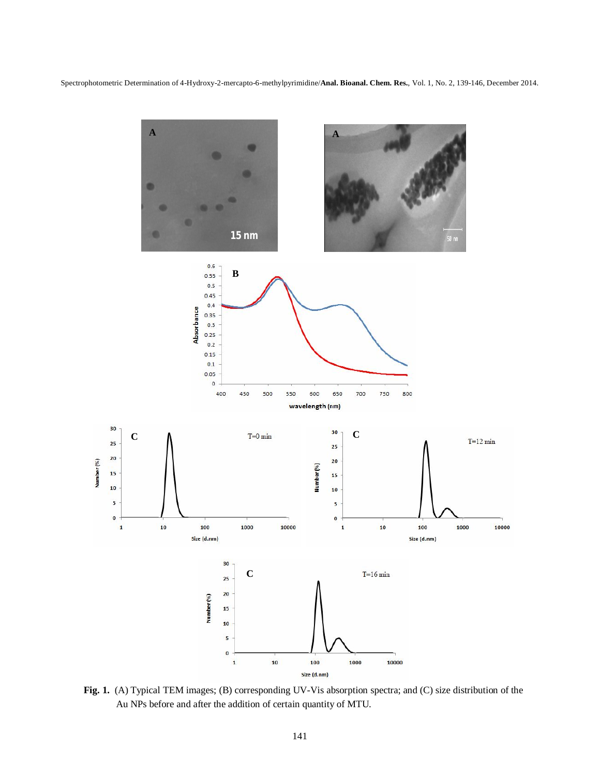Spectrophotometric Determination of 4-Hydroxy-2-mercapto-6-methylpyrimidine/**Anal. Bioanal. Chem. Res.**, Vol. 1, No. 2, 139-146, December 2014.



**Fig. 1.** (A) Typical TEM images; (B) corresponding UV-Vis absorption spectra; and (C) size distribution of the Au NPs before and after the addition of certain quantity of MTU.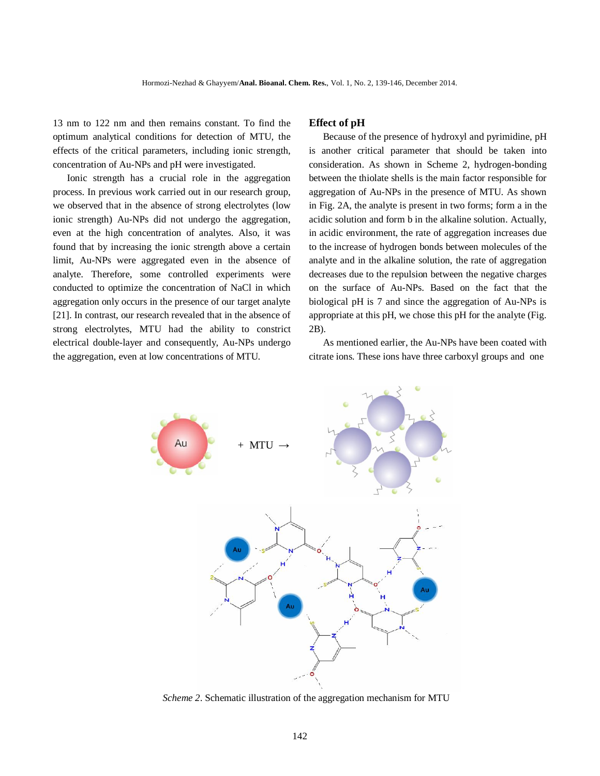13 nm to 122 nm and then remains constant. To find the optimum analytical conditions for detection of MTU, the effects of the critical parameters, including ionic strength, concentration of Au-NPs and pH were investigated.

Ionic strength has a crucial role in the aggregation process. In previous work carried out in our research group, we observed that in the absence of strong electrolytes (low ionic strength) Au-NPs did not undergo the aggregation, even at the high concentration of analytes. Also, it was found that by increasing the ionic strength above a certain limit, Au-NPs were aggregated even in the absence of analyte. Therefore, some controlled experiments were conducted to optimize the concentration of NaCl in which aggregation only occurs in the presence of our target analyte [21]. In contrast, our research revealed that in the absence of strong electrolytes, MTU had the ability to constrict electrical double-layer and consequently, Au-NPs undergo the aggregation, even at low concentrations of MTU.

## **Effect of pH**

Because of the presence of hydroxyl and pyrimidine, pH is another critical parameter that should be taken into consideration. As shown in Scheme 2, hydrogen-bonding between the thiolate shells is the main factor responsible for aggregation of Au-NPs in the presence of MTU. As shown in Fig. 2A, the analyte is present in two forms; form a in the acidic solution and form b in the alkaline solution. Actually, in acidic environment, the rate of aggregation increases due to the increase of hydrogen bonds between molecules of the analyte and in the alkaline solution, the rate of aggregation decreases due to the repulsion between the negative charges on the surface of Au-NPs. Based on the fact that the biological pH is 7 and since the aggregation of Au-NPs is appropriate at this pH, we chose this pH for the analyte (Fig. 2B).

As mentioned earlier, the Au-NPs have been coated with citrate ions. These ions have three carboxyl groups and one



*Scheme 2*. Schematic illustration of the aggregation mechanism for MTU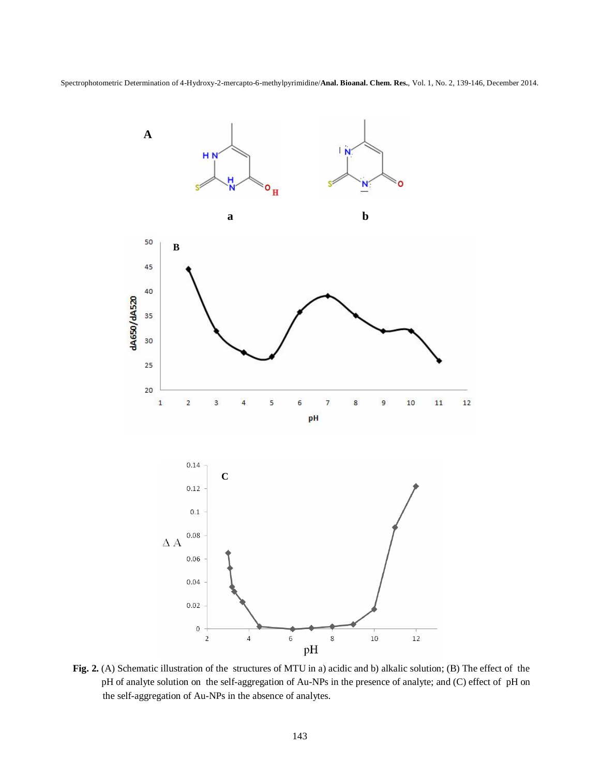Spectrophotometric Determination of 4-Hydroxy-2-mercapto-6-methylpyrimidine/**Anal. Bioanal. Chem. Res.**, Vol. 1, No. 2, 139-146, December 2014.



**Fig. 2.** (A) Schematic illustration of the structures of MTU in a) acidic and b) alkalic solution; (B) The effect of the pH of analyte solution on the self-aggregation of Au-NPs in the presence of analyte; and (C) effect of pH on the self-aggregation of Au-NPs in the absence of analytes.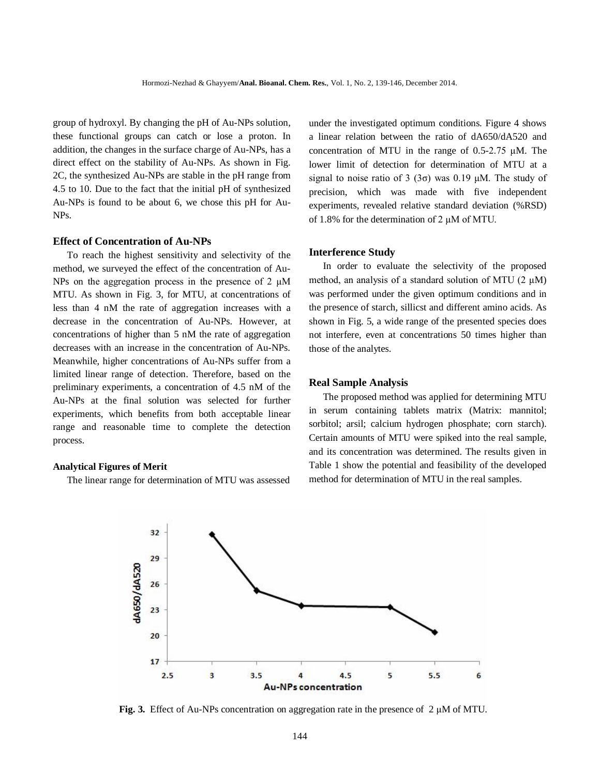group of hydroxyl. By changing the pH of Au-NPs solution, these functional groups can catch or lose a proton. In addition, the changes in the surface charge of Au-NPs, has a direct effect on the stability of Au-NPs. As shown in Fig. 2C, the synthesized Au-NPs are stable in the pH range from 4.5 to 10. Due to the fact that the initial pH of synthesized Au-NPs is found to be about 6, we chose this pH for Au-NPs.

## **Effect of Concentration of Au-NPs**

To reach the highest sensitivity and selectivity of the method, we surveyed the effect of the concentration of Au-NPs on the aggregation process in the presence of 2 μM MTU. As shown in Fig. 3, for MTU, at concentrations of less than 4 nM the rate of aggregation increases with a decrease in the concentration of Au-NPs. However, at concentrations of higher than 5 nM the rate of aggregation decreases with an increase in the concentration of Au-NPs. Meanwhile, higher concentrations of Au-NPs suffer from a limited linear range of detection. Therefore, based on the preliminary experiments, a concentration of 4.5 nM of the Au-NPs at the final solution was selected for further experiments, which benefits from both acceptable linear range and reasonable time to complete the detection process.

#### **Analytical Figures of Merit**

The linear range for determination of MTU was assessed

under the investigated optimum conditions. Figure 4 shows a linear relation between the ratio of dA650/dA520 and concentration of MTU in the range of 0.5-2.75 μM. The lower limit of detection for determination of MTU at a signal to noise ratio of 3 (3 $\sigma$ ) was 0.19 μM. The study of precision, which was made with five independent experiments, revealed relative standard deviation (%RSD) of 1.8% for the determination of 2 μM of MTU.

#### **Interference Study**

In order to evaluate the selectivity of the proposed method, an analysis of a standard solution of MTU (2 μM) was performed under the given optimum conditions and in the presence of starch, sillicst and different amino acids. As shown in Fig. 5, a wide range of the presented species does not interfere, even at concentrations 50 times higher than those of the analytes.

#### **Real Sample Analysis**

The proposed method was applied for determining MTU in serum containing tablets matrix (Matrix: mannitol; sorbitol; arsil; calcium hydrogen phosphate; corn starch). Certain amounts of MTU were spiked into the real sample, and its concentration was determined. The results given in Table 1 show the potential and feasibility of the developed method for determination of MTU in the real samples.



**Fig. 3.** Effect of Au-NPs concentration on aggregation rate in the presence of 2 μM of MTU.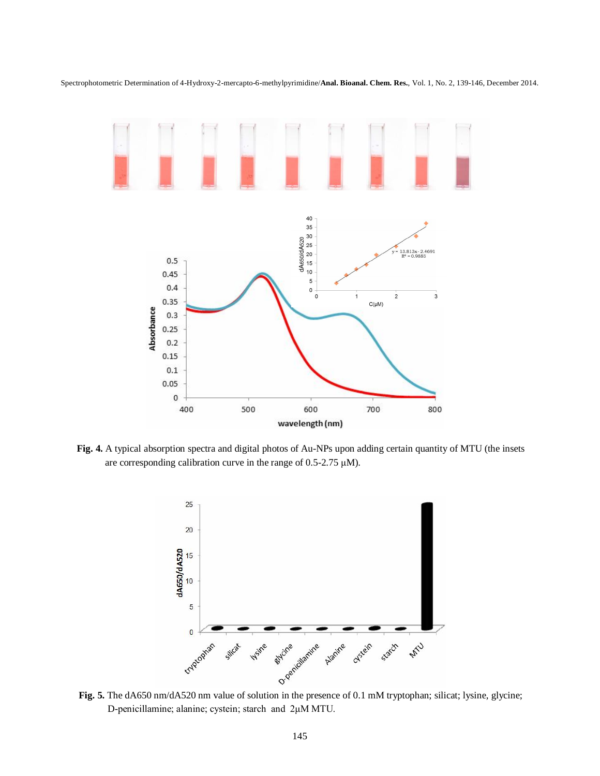

Spectrophotometric Determination of 4-Hydroxy-2-mercapto-6-methylpyrimidine/**Anal. Bioanal. Chem. Res.**, Vol. 1, No. 2, 139-146, December 2014.

**Fig. 4.** A typical absorption spectra and digital photos of Au-NPs upon adding certain quantity of MTU (the insets are corresponding calibration curve in the range of 0.5-2.75 μM).



D-penicillamine; alanine; cystein; starch and 2μM MTU.